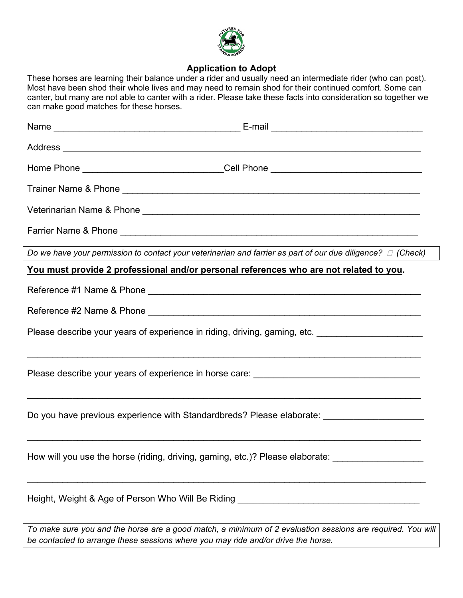

## **Application to Adopt**

These horses are learning their balance under a rider and usually need an intermediate rider (who can post). Most have been shod their whole lives and may need to remain shod for their continued comfort. Some can canter, but many are not able to canter with a rider. Please take these facts into consideration so together we can make good matches for these horses.

| Home Phone ______________________________Cell Phone ____________________________                                                                                                                |  |
|-------------------------------------------------------------------------------------------------------------------------------------------------------------------------------------------------|--|
|                                                                                                                                                                                                 |  |
|                                                                                                                                                                                                 |  |
|                                                                                                                                                                                                 |  |
| Do we have your permission to contact your veterinarian and farrier as part of our due diligence? $\Box$ (Check)                                                                                |  |
| You must provide 2 professional and/or personal references who are not related to you.                                                                                                          |  |
|                                                                                                                                                                                                 |  |
|                                                                                                                                                                                                 |  |
| Please describe your years of experience in riding, driving, gaming, etc. _________________________                                                                                             |  |
|                                                                                                                                                                                                 |  |
| Do you have previous experience with Standardbreds? Please elaborate: ______________________                                                                                                    |  |
| How will you use the horse (riding, driving, gaming, etc.)? Please elaborate:                                                                                                                   |  |
| Height, Weight & Age of Person Who Will Be Riding ______________________________                                                                                                                |  |
| To make sure you and the horse are a good match, a minimum of 2 evaluation sessions are required. You will<br>be contacted to arrange these sessions where you may ride and/or drive the horse. |  |